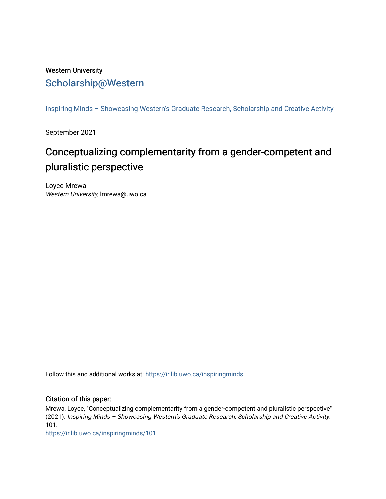## Western University [Scholarship@Western](https://ir.lib.uwo.ca/)

[Inspiring Minds – Showcasing Western's Graduate Research, Scholarship and Creative Activity](https://ir.lib.uwo.ca/inspiringminds) 

September 2021

## Conceptualizing complementarity from a gender-competent and pluralistic perspective

Loyce Mrewa Western University, lmrewa@uwo.ca

Follow this and additional works at: [https://ir.lib.uwo.ca/inspiringminds](https://ir.lib.uwo.ca/inspiringminds?utm_source=ir.lib.uwo.ca%2Finspiringminds%2F101&utm_medium=PDF&utm_campaign=PDFCoverPages) 

## Citation of this paper:

Mrewa, Loyce, "Conceptualizing complementarity from a gender-competent and pluralistic perspective" (2021). Inspiring Minds – Showcasing Western's Graduate Research, Scholarship and Creative Activity. 101.

[https://ir.lib.uwo.ca/inspiringminds/101](https://ir.lib.uwo.ca/inspiringminds/101?utm_source=ir.lib.uwo.ca%2Finspiringminds%2F101&utm_medium=PDF&utm_campaign=PDFCoverPages)